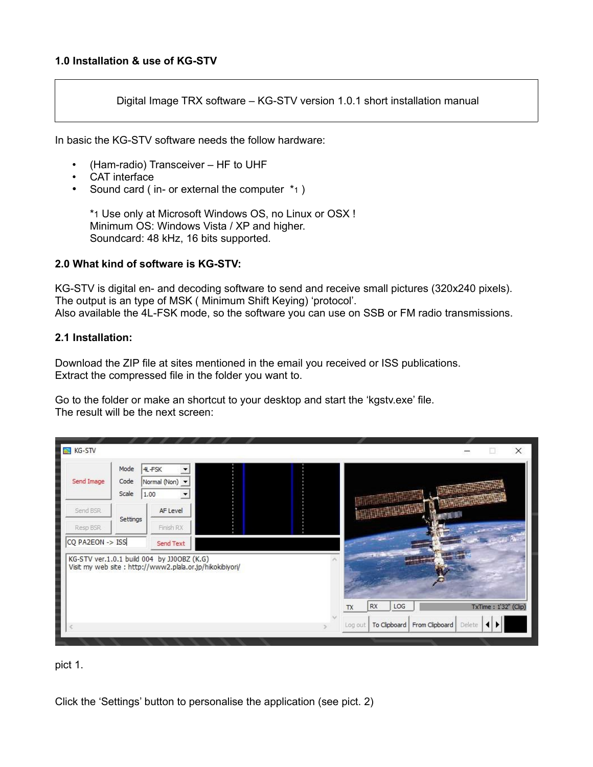Digital Image TRX software – KG-STV version 1.0.1 short installation manual

In basic the KG-STV software needs the follow hardware:

- (Ham-radio) Transceiver HF to UHF
- CAT interface
- Sound card (in- or external the computer \*1)

\*1 Use only at Microsoft Windows OS, no Linux or OSX ! Minimum OS: Windows Vista / XP and higher. Soundcard: 48 kHz, 16 bits supported.

## **2.0 What kind of software is KG-STV:**

KG-STV is digital en- and decoding software to send and receive small pictures (320x240 pixels). The output is an type of MSK ( Minimum Shift Keying) 'protocol'. Also available the 4L-FSK mode, so the software you can use on SSB or FM radio transmissions.

## **2.1 Installation:**

Download the ZIP file at sites mentioned in the email you received or ISS publications. Extract the compressed file in the folder you want to.

Go to the folder or make an shortcut to your desktop and start the 'kgstv.exe' file. The result will be the next screen:

| <b>KG-STV</b>    |                       |                                                                                                         |  |                         |                          | $\times$ |
|------------------|-----------------------|---------------------------------------------------------------------------------------------------------|--|-------------------------|--------------------------|----------|
| Send Image       | Mode<br>Code<br>Scale | 4L-FSK<br>Normal (Non) -<br>1.00                                                                        |  |                         |                          |          |
| Send BSR         |                       | AF Level                                                                                                |  |                         |                          |          |
| Resp BSR         | Settings              | Finish RX                                                                                               |  |                         |                          |          |
| CQ PA2EON -> ISS |                       | Send Text                                                                                               |  |                         |                          |          |
|                  |                       | KG-STV ver.1.0.1 build 004 by JJ0OBZ (K.G)<br>Visit my web site : http://www2.plala.or.jp/hikokibiyori/ |  |                         |                          |          |
|                  |                       |                                                                                                         |  | LOG<br>RX<br>TX         | TxTime: 1'32" (Clip)     |          |
|                  |                       |                                                                                                         |  | To Clipboard<br>Log out | From Clipboard<br>Delete |          |

pict 1.

Click the 'Settings' button to personalise the application (see pict. 2)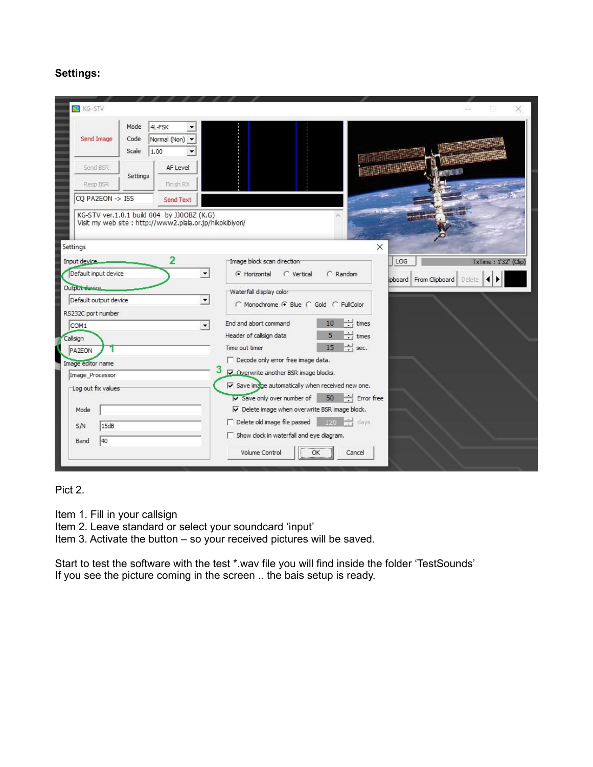## **Settings:**

| <b>KG-STV</b>                                                |                       |                                                                                                        |                         |                                                                                                                                                               |                         |                        |                      |
|--------------------------------------------------------------|-----------------------|--------------------------------------------------------------------------------------------------------|-------------------------|---------------------------------------------------------------------------------------------------------------------------------------------------------------|-------------------------|------------------------|----------------------|
| Send Image                                                   | Mode<br>Code<br>Scale | 4L-FSK<br>Normal (Non) -<br>1.00                                                                       |                         |                                                                                                                                                               |                         |                        |                      |
| Send BSR<br>Resp BSR                                         | Settings              | AF Level<br>Finish RX                                                                                  |                         |                                                                                                                                                               |                         |                        |                      |
| CQ PA2EON -> ISS                                             |                       | Send Text                                                                                              |                         |                                                                                                                                                               |                         |                        |                      |
|                                                              |                       | KG-STV ver.1.0.1 build 004 by JJ0OBZ (K.G)<br>Visit my web site: http://www2.plala.or.jp/hikokibiyori/ |                         |                                                                                                                                                               |                         |                        |                      |
| Settings<br>Input device.                                    |                       | 2                                                                                                      |                         | Image block scan direction                                                                                                                                    | $\times$                | LOG                    |                      |
| Default input device                                         |                       |                                                                                                        | G Horizontal            | $\cap$ Vertical                                                                                                                                               | C Random                |                        | TxTime: 1'32" (Clip) |
| Output device<br>Default output device<br>RS232C port number |                       | $\blacktriangledown$                                                                                   | Waterfall display color | C Monochrome G Blue C Gold C FullColor                                                                                                                        |                         | ipboard From Clipboard | Delete               |
| COM <sub>1</sub>                                             |                       | $\overline{\phantom{a}}$                                                                               | End and abort command   |                                                                                                                                                               | 10<br>times             |                        |                      |
| Callsign                                                     |                       |                                                                                                        | Header of callsign data |                                                                                                                                                               | 5<br>times              |                        |                      |
| <b>PA2EON</b>                                                |                       |                                                                                                        | Time out timer          |                                                                                                                                                               | 15<br>$\div$ sec.       |                        |                      |
| Image editor name                                            |                       |                                                                                                        |                         | $\Box$ Decode only error free image data.                                                                                                                     |                         |                        |                      |
| Image Processor                                              |                       |                                                                                                        |                         | Overwrite another BSR image blocks.                                                                                                                           |                         |                        |                      |
| Log out fix values                                           |                       |                                                                                                        |                         | $\triangledown$ Save image automatically when received new one.<br>V Save only over number of<br>$\triangledown$ Delete image when overwrite BSR image block. | 50<br>$\div$ Error free |                        |                      |
| Mode                                                         |                       |                                                                                                        |                         | $\Box$ Delete old image file passed                                                                                                                           | $\frac{120}{7}$ days    |                        |                      |
| 15dB<br>S/N<br>40<br>Band                                    |                       |                                                                                                        |                         | $\Box$ Show clock in waterfall and eye diagram.                                                                                                               |                         |                        |                      |
|                                                              |                       |                                                                                                        | Volume Control          | OK                                                                                                                                                            | Cancel                  |                        |                      |
|                                                              |                       |                                                                                                        |                         |                                                                                                                                                               |                         |                        |                      |

Pict 2.

Item 1. Fill in your callsign

Item 2. Leave standard or select your soundcard 'input'

Item 3. Activate the button – so your received pictures will be saved.

Start to test the software with the test \*.wav file you will find inside the folder 'TestSounds' If you see the picture coming in the screen .. the bais setup is ready.